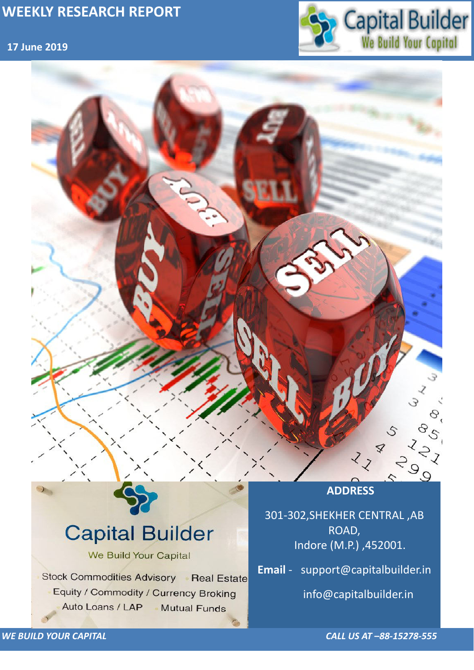## **17 June 2019**



*WE BUILD YOUR CAPITAL CALL US AT –88-15278-555*



# **Capital Builder** We Build Your Capital Stock Commodities Advisory Real Estate Equity / Commodity / Currency Broking Auto Loans / LAP **Mutual Funds**

301-302,SHEKHER CENTRAL ,AB ROAD, Indore (M.P.) ,452001.

**Email** - support@capitalbuilder.in

info@capitalbuilder.in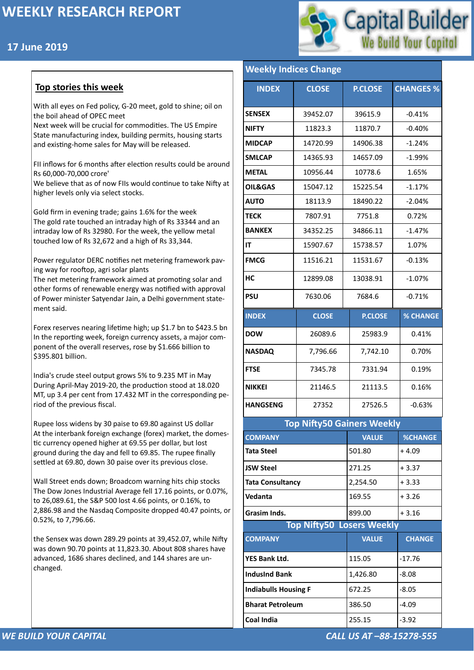## **17 June 2019**



#### *WE BUILD YOUR CAPITAL CALL US AT –88-15278-555*

#### **Top stories this week**

With all eyes on Fed policy, G-20 meet, gold to shine; oil on the boil ahead of OPEC meet

Next week will be crucial for commodities. The US Empire State manufacturing index, building permits, housing starts and existing-home sales for May will be released.

FII inflows for 6 months after election results could be around Rs 60,000-70,000 crore'

We believe that as of now FIIs would continue to take Nifty at higher levels only via select stocks.

Gold firm in evening trade; gains 1.6% for the week The gold rate touched an intraday high of Rs 33344 and an intraday low of Rs 32980. For the week, the yellow metal touched low of Rs 32,672 and a high of Rs 33,344.

Power regulator DERC notifies net metering framework paving way for rooftop, agri solar plants

The net metering framework aimed at promoting solar and other forms of renewable energy was notified with approval of Power minister Satyendar Jain, a Delhi government statement said.

Forex reserves nearing lifetime high; up \$1.7 bn to \$423.5 bn In the reporting week, foreign currency assets, a major component of the overall reserves, rose by \$1.666 billion to \$395.801 billion.

India's crude steel output grows 5% to 9.235 MT in May During April-May 2019-20, the production stood at 18.020 MT, up 3.4 per cent from 17.432 MT in the corresponding period of the previous fiscal.

Rupee loss widens by 30 paise to 69.80 against US dollar At the interbank foreign exchange (forex) market, the domestic currency opened higher at 69.55 per dollar, but lost ground during the day and fell to 69.85. The rupee finally settled at 69.80, down 30 paise over its previous close.

Wall Street ends down; Broadcom warning hits chip stocks The Dow Jones Industrial Average fell 17.16 points, or 0.07%, to 26,089.61, the S&P 500 lost 4.66 points, or 0.16%, to

2,886.98 and the Nasdaq Composite dropped 40.47 points, or 0.52%, to 7,796.66.

the Sensex was down 289.29 points at 39,452.07, while Nifty was down 90.70 points at 11,823.30. About 808 shares have advanced, 1686 shares declined, and 144 shares are unchanged.

### **Weekly Indices Change**

| <b>INDEX</b>                      | <b>CLOSE</b> | <b>P.CLOSE</b> | <b>CHANGES %</b> |  |  |  |
|-----------------------------------|--------------|----------------|------------------|--|--|--|
| <b>SENSEX</b>                     | 39452.07     | 39615.9        | $-0.41%$         |  |  |  |
| <b>NIFTY</b>                      | 11823.3      | 11870.7        | $-0.40%$         |  |  |  |
| <b>MIDCAP</b>                     | 14720.99     | 14906.38       | $-1.24%$         |  |  |  |
| <b>SMLCAP</b>                     | 14365.93     | 14657.09       | $-1.99%$         |  |  |  |
| <b>METAL</b>                      | 10956.44     | 10778.6        | 1.65%            |  |  |  |
| <b>OIL&amp;GAS</b>                | 15047.12     | 15225.54       | $-1.17%$         |  |  |  |
| <b>AUTO</b>                       | 18113.9      | 18490.22       | $-2.04%$         |  |  |  |
| <b>TECK</b>                       | 7807.91      | 7751.8         | 0.72%            |  |  |  |
| <b>BANKEX</b>                     | 34352.25     | 34866.11       | $-1.47%$         |  |  |  |
| IT                                | 15907.67     | 15738.57       | 1.07%            |  |  |  |
| <b>FMCG</b>                       | 11516.21     | 11531.67       | $-0.13%$         |  |  |  |
| HC                                | 12899.08     | 13038.91       | $-1.07%$         |  |  |  |
| <b>PSU</b>                        | 7630.06      | 7684.6         | $-0.71%$         |  |  |  |
| <b>INDEX</b>                      | <b>CLOSE</b> | <b>P.CLOSE</b> | <b>% CHANGE</b>  |  |  |  |
| <b>DOW</b>                        | 26089.6      | 25983.9        | 0.41%            |  |  |  |
| <b>NASDAQ</b>                     | 7,796.66     | 7,742.10       | 0.70%            |  |  |  |
| <b>FTSE</b>                       | 7345.78      | 7331.94        | 0.19%            |  |  |  |
| <b>NIKKEI</b>                     | 21146.5      | 21113.5        | 0.16%            |  |  |  |
| <b>HANGSENG</b>                   | 27352        | 27526.5        | $-0.63%$         |  |  |  |
| <b>Top Nifty50 Gainers Weekly</b> |              |                |                  |  |  |  |
| <b>COMPANY</b>                    |              | <b>VALUE</b>   | <b>%CHANGE</b>   |  |  |  |
| <b>Tata Steel</b>                 |              | 501.80         | $+4.09$          |  |  |  |
| <b>JSW Steel</b>                  |              | 271.25         | $+3.37$          |  |  |  |
| <b>Tata Consultancy</b>           |              | 2,254.50       | $+3.33$          |  |  |  |
| Vedanta                           |              | 169.55         | $+3.26$          |  |  |  |

| Grasim Inds.                     | 899.00       | $+3.16$       |  |  |
|----------------------------------|--------------|---------------|--|--|
| <b>Top Nifty50 Losers Weekly</b> |              |               |  |  |
| <b>COMPANY</b>                   | <b>VALUE</b> | <b>CHANGE</b> |  |  |
| <b>YES Bank Ltd.</b>             | 115.05       | $-17.76$      |  |  |
| <b>IndusInd Bank</b>             | 1,426.80     | $-8.08$       |  |  |
| <b>Indiabulls Housing F</b>      | 672.25       | $-8.05$       |  |  |
| <b>Bharat Petroleum</b>          | 386.50       | $-4.09$       |  |  |
| <b>Coal India</b>                | 255.15       | $-3.92$       |  |  |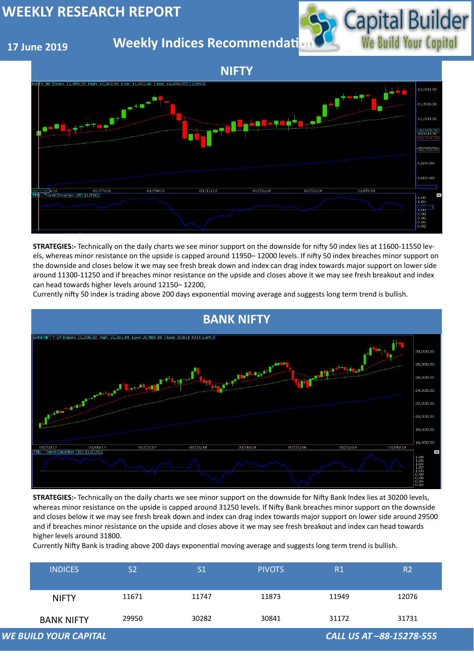## **17 June 2019**

**Weekly Indices Recommendati** 



| <b>INDICES</b>               | S <sub>2</sub> | S <sub>1</sub> | <b>PIVOTS</b> | R1    | R <sub>2</sub>           |
|------------------------------|----------------|----------------|---------------|-------|--------------------------|
| <b>NIFTY</b>                 | 11671          | 11747          | 11873         | 11949 | 12076                    |
| <b>BANK NIFTY</b>            | 29950          | 30282          | 30841         | 31172 | 31731                    |
| <b>WE BUILD YOUR CAPITAL</b> |                |                |               |       | CALL US AT -88-15278-555 |





**STRATEGIES:-** Technically on the daily charts we see minor support on the downside for nifty 50 index lies at 11600-11550 levels, whereas minor resistance on the upside is capped around 11950– 12000 levels. If nifty 50 index breaches minor support on the downside and closes below it we may see fresh break down and index can drag index towards major support on lower side around 11300-11250 and if breaches minor resistance on the upside and closes above it we may see fresh breakout and index can head towards higher levels around 12150– 12200,

Currently nifty 50 index is trading above 200 days exponential moving average and suggests long term trend is bullish.

**STRATEGIES:-** Technically on the daily charts we see minor support on the downside for Nifty Bank Index lies at 30200 levels, whereas minor resistance on the upside is capped around 31250 levels. If Nifty Bank breaches minor support on the downside and closes below it we may see fresh break down and index can drag index towards major support on lower side around 29500 and if breaches minor resistance on the upside and closes above it we may see fresh breakout and index can head towards higher levels around 31800.

Currently Nifty Bank is trading above 200 days exponential moving average and suggests long term trend is bullish.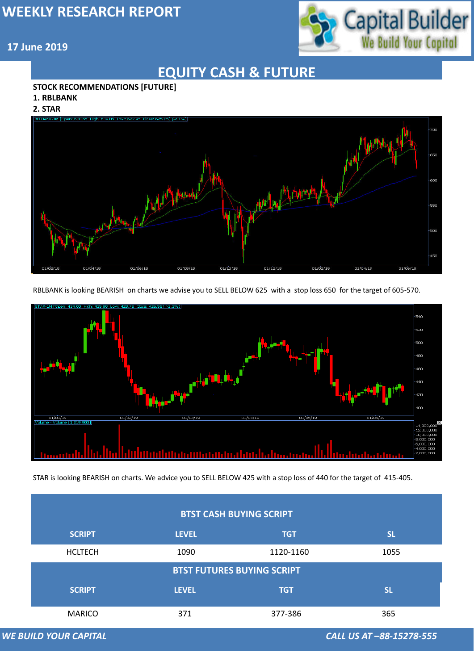

#### **17 June 2019**

*WE BUILD YOUR CAPITAL CALL US AT –88-15278-555*

## **EQUITY CASH & FUTURE**

#### **STOCK RECOMMENDATIONS [FUTURE]**

#### **1. RBLBANK**

#### **2. STAR**



RBLBANK is looking BEARISH on charts we advise you to SELL BELOW 625 with a stop loss 650 for the target of 605-570.



| <b>BTST CASH BUYING SCRIPT</b>    |              |            |           |  |  |
|-----------------------------------|--------------|------------|-----------|--|--|
| <b>SCRIPT</b>                     | <b>LEVEL</b> | <b>TGT</b> | <b>SL</b> |  |  |
| <b>HCLTECH</b>                    | 1090         | 1120-1160  | 1055      |  |  |
| <b>BTST FUTURES BUYING SCRIPT</b> |              |            |           |  |  |
| <b>SCRIPT</b>                     | <b>LEVEL</b> | <b>TGT</b> | <b>SL</b> |  |  |
| <b>MARICO</b>                     | 371          | 377-386    | 365       |  |  |

**WE BUILD YOUR CAPITAL** 

STAR is looking BEARISH on charts. We advice you to SELL BELOW 425 with a stop loss of 440 for the target of 415-405.